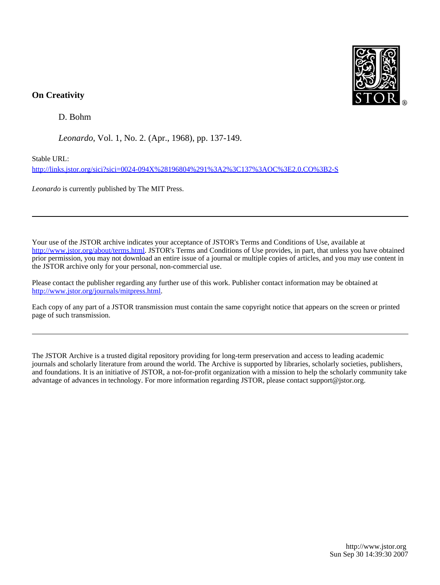

## **On Creativity**

D. Bohm

*Leonardo*, Vol. 1, No. 2. (Apr., 1968), pp. 137-149.

Stable URL:

<http://links.jstor.org/sici?sici=0024-094X%28196804%291%3A2%3C137%3AOC%3E2.0.CO%3B2-S>

*Leonardo* is currently published by The MIT Press.

Your use of the JSTOR archive indicates your acceptance of JSTOR's Terms and Conditions of Use, available at [http://www.jstor.org/about/terms.html.](http://www.jstor.org/about/terms.html) JSTOR's Terms and Conditions of Use provides, in part, that unless you have obtained prior permission, you may not download an entire issue of a journal or multiple copies of articles, and you may use content in the JSTOR archive only for your personal, non-commercial use.

Please contact the publisher regarding any further use of this work. Publisher contact information may be obtained at <http://www.jstor.org/journals/mitpress.html>.

Each copy of any part of a JSTOR transmission must contain the same copyright notice that appears on the screen or printed page of such transmission.

The JSTOR Archive is a trusted digital repository providing for long-term preservation and access to leading academic journals and scholarly literature from around the world. The Archive is supported by libraries, scholarly societies, publishers, and foundations. It is an initiative of JSTOR, a not-for-profit organization with a mission to help the scholarly community take advantage of advances in technology. For more information regarding JSTOR, please contact support@jstor.org.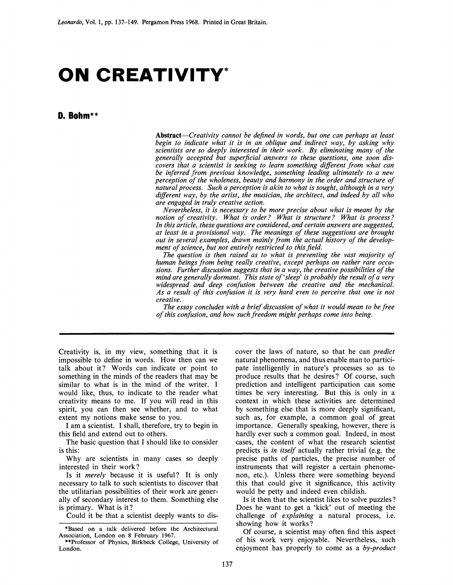## **ON CREATIVITY\***

D. Bohm\*\*

*Abstract-Creativity cannot be defined in words, but one can perhaps at least begin to indicate what it is in an oblique and indirect way, by asking why scientists are so deeply interested in their work. By eliminating many of the generally accepted but superficial answers to these questions, one soon discovers that a scientist is seeking to learn something different from what can be inferred from previous knowledge, something leading ultimately to a new perception of the wholeness, beauty and harmony in the order and structure of natural process. Such a perception is akin to what is sought, although in a very different way, by the artist, the musician, the architect, and indeed by all who are engaged in truly creative action.* 

*Nevertheless, it is necessary to be more precise about what is meant by the notion of creativity. What is order* ? *What is structure* ? *What is process* ? *In this article, these questions are considered, and certain answers are suggested, at least in a provisional way. The meanings of these suggestions are brought out in several examples, drawn mainly from the actual history of the development of science, but not entirely restricted to this field.* 

*The question is then raised as to what is preventing the vast majority of human beings from being really creative, except perhaps on rather rare occasions. Further discussion suggests that in a way, the creative possibilities of the mind are generally dormant. This state of 'sleep' is probably the result of a very widespread and deep confusion between the creative and the mechanical. As a result of this confusion it is very hard even to perceive that one is not creative.* 

*The essay concludes with a brief discussion of what it would mean to be free of this confusion, and how such freedom might perhaps come into being.* 

Creativity is, in my view, something that it is cover the laws of nature, so that he can *predict*  impossible to define in words. How then can we natural phenomena, and thus enable man to particitalk about it? Words can indicate or point to pate intelligently in nature's processes so as to something in the minds of the readers that may be produce results that he desires? Of course, such similar to what is in the mind of the writer. I prediction and intelligent participation can some would like, thus, to indicate to the reader what times be very interesting. But this is only in a creativity means to me. If you will read in this context in which these activities are determined spirit, you can then see whether, and to what by something else that is more deeply significant, extent my notions make sense to you. Such as, for example, a common goal of great

necessary to talk to such scientists to discover that this that could give it significance, this activity the utilitarian possibilities of their work are gener-<br>ally of secondary interest to them. Something else<br>Is it then that the scientist likes to solve puzzles? ally of secondary interest to them. Something else

I am a scientist. I shall, therefore, try to begin in importance. Generally speaking, however, there is this field and extend out to others.<br>
hardly ever such a common goal. Indeed, in most hardly ever such a common goal. Indeed, in most The basic question that I should like to consider cases, the content of what the research scientist is this:<br>Why are scientists in many cases so deeply precise paths of particles, the precise number of Why are scientists in many cases so deeply precise paths of particles, the precise number of interested in their work? instruments that will register a certain phenome-Is it *merely* because it is useful? It is only non, etc.). Unless there were something beyond

is primary. What is it?<br>
Could it be that a scientist deeply wants to dis-<br>
Could it be that a scientist deeply wants to dis-<br>
challenge of *explaining* a natural process, i.e. challenge of *explaining* a natural process, i.e. showing how it works?

Association, London on 8 February 1967.<br>
Association, London on 8 February 1967.<br>
\*\*Professor of Physics, Birkbeck College, University of of his work very enjoyable. Nevertheless, such \*\*Professor of Physics, Birkbeck College, University of of his work very enjoyable. Nevertheless, such enjoyment has properly to come as a *by-product* 

<sup>\*</sup>Based on a talk delivered before the Architectural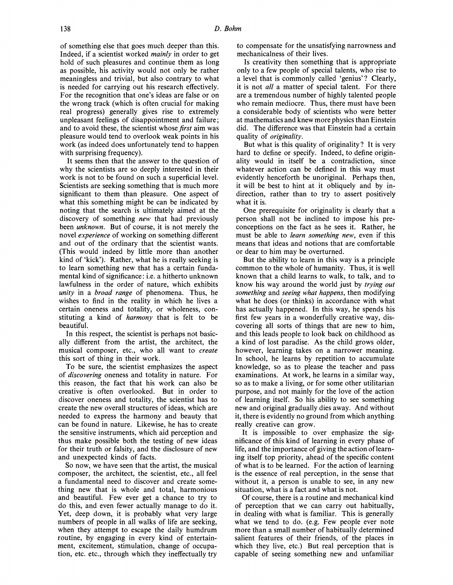of something else that goes much deeper than this. Indeed, if a scientist worked *mainly* in order to get hold of such pleasures and continue them as long as possible, his activity would not only be rather meaningless and trivial, but also contrary to what is needed for carrying out his research effectively. For the recognition that one's ideas are false or on the wrong track (which is often crucial for making real progress) generally gives rise to extremely unpleasant feelings of disappointment and failure; and to avoid these, the scientist whose first aim was pleasure would tend to overlook weak points in his work (as indeed does unfortunately tend to happen with surprising frequency).

It seems then that the answer to the question of why the scientists are so deeply interested in their work is not to be found on such a superficial level. Scientists are seeking something that is much more significant to them than pleasure. One aspect of what this something might be can be indicated by noting that the search is ultimately aimed at the discovery of something *new* that had previously been *unknown.* But of course, it is not merely the novel *experience* of working on something different and out of the ordinary that the scientist wants. (This would indeed by little more than another kind of 'kick'). Rather, what he is really seeking is to learn something new that has a certain fundamental kind of significance: i.e. a hitherto unknown lawfulness in the order of nature, which exhibits *unity* in a *broad range* of phenomena. Thus, he wishes to find in the reality in which he lives a certain oneness and totality, or wholeness, constituting a kind of *harmony* that is felt to be beautiful.

In this respect, the scientist is perhaps not basically different from the artist, the architect, the musical composer, etc., who all want to *create*  this sort of thing in their work.

To be sure, the scientist emphasizes the aspect of *discovering* oneness and totality in nature. For this reason, the fact that his work can also be creative is often overlooked. But in order to discover oneness and totality, the scientist has to create the new overall structures of ideas, which are needed to express the harmony and beauty that can be found in nature. Likewise, he has to create the sensitive instruments, which aid perception and thus make possible both the testing of new ideas for their truth or falsity, and the disclosure of new and unexpected kinds of facts.

So now, we have seen that the artist, the musical composer, the architect, the scientist, etc., all feel a fundamental need to discover and create something new that is whole and total, harmonious and beautiful. Few ever get a chance to try to do this, and even fewer actually manage to do it. Yet, deep down, it is probably what very large numbers of people in all walks of life are seeking, when they attempt to escape the daily humdrum routine, by engaging in every kind of entertainment, excitement, stimulation, change of occupation, etc. etc., through which they ineffectually try

to compensate for the unsatisfying narrowness and mechanicalness of their lives.

Is creativity then something that is appropriate only to a few people of special talents, who rise to a level that is commonly called 'genius'? Clearly, it is not *all* a matter of special talent. For there are a tremendous number of highly talented people who remain mediocre. Thus, there must have been a considerable body of scientists who were better at mathematics and knew more physics than Einstein did. The difference was that Einstein had a certain quality of *originality.* 

But what is this quality of originality? It is very hard to define or specify. Indeed, to define originality would in itself be a contradiction, since whatever action can be defined in this way must evidently henceforth be unoriginal. Perhaps then, it will be best to hint at it obliquely and by indirection, rather than to try to assert positively what it is.

One prerequisite for originality is clearly that a person shall not be inclined to impose his preconceptions on the fact as he sees it. Rather, he must be able to *learn something new,* even if this means that ideas and notions that are comfortable or dear to him may be overturned.

But the ability to learn in this way is a principle common to the whole of humanity. Thus, it is well known that a child learns to walk, to talk, and to know his way around the world just by *trying out something* and *seeing what happens,* then modifying what he does (or thinks) in accordance with what has actually happened. In this way, he spends his first few years in a wonderfully creative way, discovering all sorts of things that are new to him, and this leads people to look back on childhood as a kind of lost paradise. As the child grows older, however, learning takes on a narrower meaning. In school, he learns by repetition to accumulate knowledge, so as to please the teacher and pass examinations. At work, he learns in a similar way, so as to make a living, or for some other utilitarian purpose, and not mainly for the love of the action of learning itself. So his ability to see something new and original gradually dies away. And without it, there is evidently no ground from which anything really creative can grow.

It is impossible to over emphasize the significance of this kind of learning in every phase of life, and the importance of giving the action of learning itself top priority, ahead of the specific content of what is to be learned. For the action of learning is the essence of real perception, in the sense that without it, a person is unable to see, in any new situation, what is a fact and what is not.

Of course, there is a routine and mechanical kind of perception that we can carry out habitually, in dealing with what is familiar. This is generally what we tend to do. (e.g. Few people ever note more than a small number of habitually determined salient features of their friends, of the places in which they live, etc.) But real perception that is capable of seeing something new and unfamiliar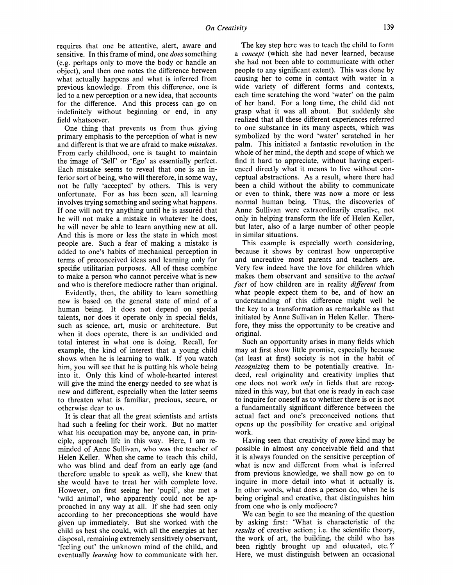requires that one be attentive, alert, aware and sensitive. In this frame of mind, one *does*something (e.g. perhaps only to move the body or handle an object), and then one notes the difference between what actually happens and what is inferred from previous knowledge. From this difference, one is led to a new perception or a new idea, that accounts for the difference. And this process can go on indefinitely without beginning or end, in any field whatsoever.

One thing that prevents us from thus giving primary emphasis to the perception of what is new and different is that we are afraid to make *mistakes.*  From early childhood, one is taught to maintain the image of 'Self' or 'Ego' as essentially perfect. Each mistake seems to reveal that one is an inferior sort of being, who will therefore, in some way, not be fully 'accepted' by others. This is very unfortunate. For as has been seen, all learning involves trying something and seeing what happens. If one will not try anything until he is assured that he will not make a mistake in whatever he does. he will never be able to learn anything new at all. And this is more or less the state in which most people are. Such a fear of making a mistake is added to one's habits of mechanical perception in terms of preconceived ideas and learning only for specifie utilitarian purposes. All of these combine to make a person who cannot perceive what is new and who is therefore mediocre rather than original.

Evidently, then, the ability to learn something new is based on the general state of mind of a human being. It does not depend on special talents, nor does it operate only in special fields, such as science, art, music or architecture. But when it does operate, there is an undivided and total interest in what one is doing. Recall, for example, the kind of interest that a young child shows when he is learning to walk. If you watch him, you will see that he is putting his whole being into it. Only this kind of whole-hearted interest will give the mind the energy needed to see what is new and different, especially when the latter seems to threaten what is familiar, precious, secure, or otherwise dear to us.

It is clear that all the great scientists and artists had such a feeling for their work. But no matter what his occupation may be, anyone can, in principle, approach life in this way. Here, I am reminded of Anne Sullivan, who was the teacher of Helen Keller. When she came to teach this child, who was blind and deaf from an early age (and therefore unable to speak as well), she knew that she would have to treat her with complete love. However, on first seeing her 'pupil', she met a 'wild animal', who apparently could not be approached in any way at all. If she had seen only according to her preconceptions she would have given up immediately. But she worked with the child as best she could, with all the energies at her disposal, remaining extremely sensitively observant, 'feeling out' the unknown mind of the child, and eventually *learning* how to communicate with her.

The key step here was to teach the child to form a *concept* (which she had never learned, because she had not been able to communicate with other people to any significant extent). This was done by causing her to come in contact with water in a wide variety of different forms and contexts, each time scratching the word 'water' on the palm of her hand. For a long time, the child did not grasp what it was all about. But suddenly she realized that all these different experiences referred to one substance in its many aspects, which was symbolized by the word 'water' scratched in her palm. This initiated a fantastic revolution in the whole of her mind, the depth and scope of which we find it hard to appreciate, without having experienced directly what it means to live without conceptual abstractions. As a result, where there had been a child without the ability to communicate or even to think, there was now a more or less normal human being. Thus, the discoveries of Anne Sullivan were extraordinarily creative, not only in helping transform the life of Helen Keller, but later, also of a large number of other people in similar situations.

This example is especially worth considering, because it shows by contrast how unperceptive and uncreative most parents and teachers are. Very few indeed have the love for children which makes them observant and sensitive to the *actual fact* of how children are in reality *diferent* from what people expect them to be, and of how an understanding of this difference might well be the key to a transformation as remarkable as that initiated by Anne Sullivan in Helen Keller. Therefore, they miss the opportunity to be creative and original.

Such an opportunity arises in many fields which may at first show little promise, especially because (at least at first) society is not in the habit of *recognizing* them to be potentially creative. Indeed, real originality and creativity implies that one does not work *only* in fields that are recognized in this way, but that one is ready in each case to inquire for oneself as to whether there is or is not a fundamentally significant difference between the actual fact and one's preconceived notions that opens up the possibility for creative and original work.

Having seen that creativity of *some* kind may be possible in almost any conceivable field and that it is always founded on the sensitive perception of what is new and different from what is inferred from previous knowledge, we shall now go on to inquire in more detail into what it actually is. In other words, what does a person do, when he is being original and creative, that distinguishes him from one who is only mediocre?

We can begin to see the meaning of the question by asking first: 'What is characteristic of the *results* of creative action; i.e. the scientific theory, the work of art, the building, the child who has been rightly brought up and educated, etc.?' Here, we must distinguish between an occasional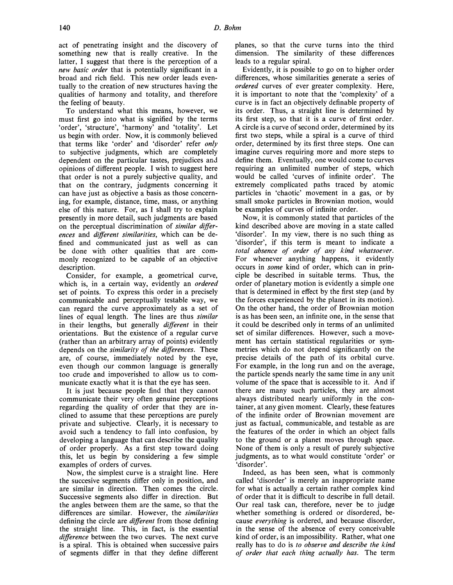act of penetrating insight and the discovery of something new that is really creative. In the latter, I suggest that there is the perception of a *new basic order* that is potentially significant in a broad and rich field. This new order leads eventually to the creation of new structures having the qualities of harmony and totality, and therefore the feeling of beauty.

To understand what this means, however, we must first go into what is signified by the terms 'order', 'structure', 'harmony' and 'totality'. Let us begin with order. Now, it is commonly believed that terms like 'order' and 'disorder' refer *only*  to subjective judgments, which are completely dependent on the particular tastes, prejudices and opinions of different people. I wish to suggest here that order is not a purely subjective quality, and that on the contrary, judgments concerning it can have just as objective a basis as those concerning, for example, distance, time, mass, or anything else of this nature. For, as I shall try to explain presently in more detail, such judgments are based on the perceptual discrimination of *similar diferences* and *different similarities,* which can be defined and communicated just as well as can be done with other qualities that are commonly recognized to be capable of an objective description.

Consider, for example, a geometrical curve, which is, in a certain way, evidently an *ordered*  set of points. To express this order in a precisely communicable and perceptually testable way, we can regard the curve approximately as a set of lines of equal length. The lines are thus *similar*  in their lengths, but generally *diferent* in their orientations. But the existence of a regular curve (rather than an arbitrary array of points) evidently depends on the *similarity of the diferences.* These are, of course, immediately noted by the eye, even though our common language is generally too crude and impoverished to allow us to communicate exactly what it is that the eye has seen.

It is just because people find that they cannot communicate their very often genuine perceptions regarding the quality of order that they are inclined to assume that these perceptions are purely private and subjective. Clearly, it is necessary to avoid such a tendency to fall into confusion, by developing a language that can describe the quality of order properly. As a first step toward doing this, let us begin by considering a few simple examples of orders of curves.

Now, the simplest curve is a straight line. Here the succesive segments differ only in position, and are similar in direction. Then comes the circle. Successive segments also differ in direction. But the angles between them are the same, so that the differences are similar. However, the *similarities*  defining the circle are *different* from those defining the straight line. This, in fact, is the essential *difference* between the two curves. The next curve is a spiral. This is obtained when successive pairs of segments differ in that they define different planes, so that the curve turns into the third dimension. The similarity of these differences leads to a regular spiral.

Evidently, it is possible to go on to higher order differences, whose similarities generate a series of *ordered* curves of ever greater complexity. Here, it is important to note that the 'complexity' of a curve is in fact an objectively definable property of its order. Thus, a straight line is determined by its first step, so that it is a curve of first order. A circle is a curve of second order, determined by its first two steps, while a spiral is a curve of third order, determined by its first three steps. One can imagine curves requiring more and more steps to define them. Eventually, one would come to curves requiring an unlimited number of steps, which would be called 'curves of infinite order'. The extremely complicated paths traced by atomic particles in 'chaotic' movement in a gas, or by small smoke particles in Brownian motion, would be examples of curves of infinite order.

Now, it is commonly stated that particles of the kind described above are moving in a state called 'disorder'. In my view, there is no such thing as 'disorder', if this term is meant to indicate a *total absence of order of any kind whatsoever.* For whenever anything happens, it evidently occurs in *some* kind of order, which can in principle be described in suitable terms. Thus, the order of planetary motion is evidently a simple one that is determined in effect by the first step (and by the forces experienced by the planet in its motion). On the other hand, the order of Brownian motion is as has been seen, an infinite one, in the sense that it could be described only in terms of an unlimited set of similar differences. However, such a movement has certain statistical regularities or symmetries which do not depend significantly on the precise details of the path of its orbital curve. For example, in the long run and on the average, the particle spends nearly the same time in any unit volume of the space that is accessible to it. And if there are many such particles, they are almost always distributed nearly uniformly in the container, at any given moment. Clearly, these features of the infinite order of Brownian movement are just as factual, communicable, and testable as are the features of the order in which an object falls to the ground or a planet moves through space. None of them is only a result of purely subjective judgments, as to what would constitute 'order' or 'disorder'.

Indeed, as has been seen, what is commonly called 'disorder' is merely an inappropriate name for what is actually a certain rather complex kind of order that it is difficult to describe in full detail. Our real task can, therefore, never be to judge whether something is ordered or disordered, because *everything* is ordered, and because disorder, in the sense of the absence of every conceivable kind of order, is an impossibility. Rather, what one really has to do is *to observe and describe the kind of order that each thing actually has.* The term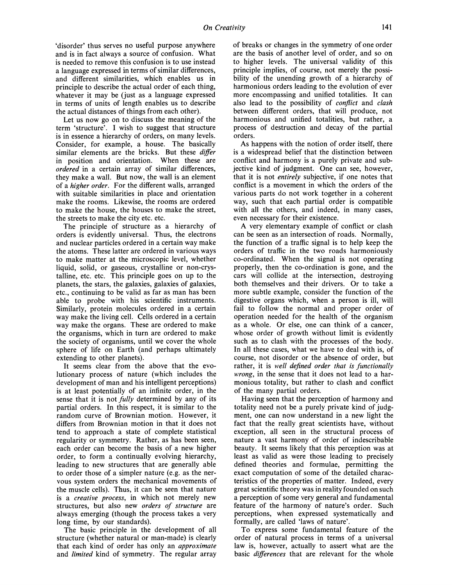'disorder' thus serves no useful purpose anywhere and is in fact always a source of confusion. What is needed to remove this confusion is to use instead a language expressed in terms of similar differences, and different similarities, which enables us in principle to describe the actual order of each thing, whatever it may be (just as a language expressed in terms of units of length enables us to describe the actual distances of things from each other).

Let us now go on to discuss the meaning of the term 'structure'. I wish to suggest that structure is in essence a hierarchy of orders, on many levels. Consider, for example, a house. The basically similar elements are the bricks. But these *differ* in position and orientation. When these are *ordered* in a certain array of similar differences, they make a wall. But now, the wall is an element of a *higher order.* For the different walls, arranged with suitable similarities in place and orientation make the rooms. Likewise, the rooms are ordered to make the house, the houses to make the street, the streets to make the city etc. etc.

The principle of structure as a hierarchy of orders is evidently universal. Thus, the electrons and nuclear particles ordered in a certain way make the atoms. These latter are ordered in various ways to make matter at the microscopic level, whether liquid, solid, or gaseous, crystalline or non-crystalline, etc. etc. This principle goes on up to the planets, the stars, the galaxies, galaxies of galaxies, etc., continuing to be valid as far as man has been able to probe with his scientific instruments. Similarly, protein molecules ordered in a certain way make the living cell. Cells ordered in a certain way make the organs. These are ordered to make the organisms, which in turn are ordered to make the society of organisms, until we cover the whole sphere of life on Earth (and perhaps ultimately extending to other planets).

It seems clear from the above that the evolutionary process of nature (which includes the development of man and his intelligent perceptions) is at least potentially of an infinite order, in the sense that it is not *fully* determined by any of its partial orders. In this respect, it is similar to the random curve of Brownian motion. However, it differs from Brownian motion in that it does not tend to approach a state of complete statistical regularity or symmetry. Rather, as has been seen, each order can become the basis of a new higher order, to form a continually evolving hierarchy, leading to new structures that are generally able to order those of a simpler nature (e.g. as the nervous system orders the mechanical movements of the muscle cells). Thus, it can be seen that nature is a *creative process,* in which not merely new structures, but also new *orders of structure* are always emerging (though the process takes a very long time, by our standards).

The basic principle in the development of all structure (whether natural or man-made) is clearly that each kind of order has only an *approximate*  and *limited* kind of symmetry. The regular array of breaks or changes in the symmetry of one order are the basis of another level of order, and so on to higher levels. The universal validity of this principle implies, of course, not merely the possibility of the unending growth of a hierarchy of harmonious orders leading to the evolution of ever more encompassing and unified totalities. It can also lead to the possibility of *conflict* and *clash*  between different orders, that will produce, not harmonious and unified totalities, but rather, a process of destruction and decay of the partial orders.

As happens with the notion of order itself, there is a widespread belief that the distinction between conflict and harmony is a purely private and subjective kind of judgment. One can see, however, that it is not *entirely* subjective, if one notes that conflict is a movement in which the orders of the various parts do not work together in a coherent way, such that each partial order is compatible with all the others, and indeed, in many cases, even necessary for their existence.

A very elementary example of conflict or clash can be seen as an intersection of roads. Normally, the function of a traffic signal is to help keep the orders of traffic in the two roads harmoniously co-ordinated. When the signal is not operating properly, then the co-ordination is gone, and the cars will collide at the intersection, destroying both themselves and their drivers. Or to take a more subtle example, consider the function of the digestive organs which, when a person is ill, will fail to follow the normal and proper order of operation needed for the health of the organism as a whole. Or else, one can think of a cancer, whose order of growth without limit is evidently such as to clash with the processes of the body. In all these cases, what we have to deal with is, of course, not disorder or the absence of order, but rather, it is *well dejined order that is functionally wrong,* in the sense that it does not lead to a harmonious totality, but rather to clash and conflict of the many partial orders.

Having seen that the perception of harmony and totality need not be a purely private kind of judgment, one can now understand in a new light the fact that the really great scientists have, without exception, all seen in the structural process of nature a vast harmony of order of indescribable beauty. It seems likely that this perception was at least as valid as were those leading to precisely defined theories and formulae, permitting the exact computation of some of the detailed characteristics of the properties of matter. Indeed, every great scientific theory was in reality founded on such a perception of some very general and fundamental feature of the harmony of nature's order. Such perceptions, when expressed systematically and formally, are called 'laws of nature'.

To express some fundamental feature of the order of natural process in terms of a universal law is, however, actually to assert what are the basic *differences* that are relevant for the whole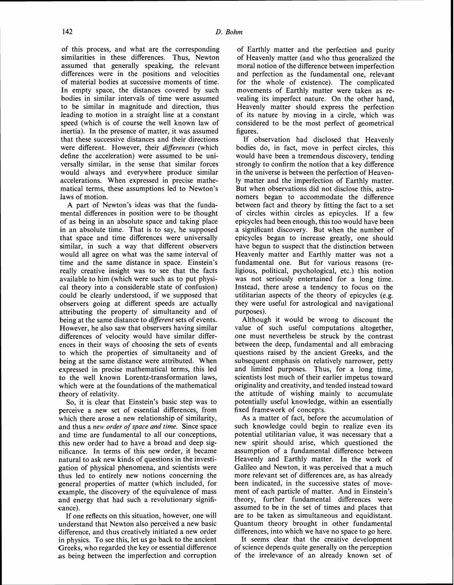of this process, and what are the corresponding similarities in these differences. Thus, Newton assumed that generally speaking, the relevant differences were in the positions and velocities of material bodies at successive moments of time. In empty space, the distances covered by such bodies in similar intervals of time were assumed to be similar in magnitude and direction, thus leading to motion in a straight line at a constant speed (which is of course the well known law of inertia). In the presence of matter, it was assumed that these successive distances and their directions were different. However, their **diferences** (which define the acceleration) were assumed to be universally similar, in the sense that similar forces would always and everywhere produce similar accelerations. When expressed in precise mathematical terms, these assumptions led to Newton's laws of motion.

A part of Newton's ideas was that the fundamental differences in position were to be thought of as being in an absolute space and taking place in an absolute time. That is to say, he supposed that space and time differences were universally similar, in such a way that different observers would all agree on what was the same interval of time and the same distance in space. Einstein's really creative insight was to see that the facts available to him (which were such as to put physical theory into a considerable state of confusion) could be clearly understood, if we supposed that observers going at different speeds are actually attributing the property of simultaneity and of being at the same distance to **diferent** sets of events. However, he also saw that observers having similar differences of velocity would have similar differences in their ways of choosing the sets of events to which the properties of simultaneity and of being at the same distance were attributed. When expressed in precise mathematical terms, this led to the well known Lorentz-transformation laws, which were at the foundations of the mathematical theory of relativity.

So, it is clear that Einstein's basic step was to perceive a new set of essential differences, from which there arose a new relationship of similarity, and thus a **new order** of **space and time.** Since space and time are fundamental to all our conceptions, this new order had to have a broad and deep significance. In terms of this new order, it became natural to ask new kinds of questions in the investigation of physical phenomena, and scientists were thus led to entirely new notions concerning the general properties of matter (which included, for example, the discovery of the equivalence of mass and energy that had such a revolutionary significance).

If one reflects on this situation, however, one will understand that Newton also perceived a new basic difference, and thus creatively initiated a new order in physics. To see this, let us go back to the ancient Greeks, who regarded the key or essential difference as being between the imperfection and corruption

of Earthly matter and the perfection and purity of Heavenly matter (and who thus generalized the moral notion of the difference between imperfection and perfection as the fundamental one, relevant for the whole of existence). The complicated movements of Earthly matter were taken as revealing its imperfect nature. On the other hand, Heavenly matter should express the perfection of its nature by moving in a circle, which was considered to be the most perfect of geometrical figures.

If observation had disclosed that Heavenly bodies do, in fact, move in perfect circles, this would have been a tremendous discovery, tending strongly to confirm the notion that a key difference in the universe is between the perfection of Heavenly matter and the imperfection of Earthly matter. But when observations did not disclose this, astronomers began to accommodate the difference between fact and theory by fitting the fact to a set of circles within circles as epicycles. If a few epicycles had been enough, this too would have been a significant discovery. But when the number of epicycles began to increase greatly, one should have begun to suspect that the distinction between Heavenly matter and Earthly matter was not a fundamental one. But for various reasons (religious, political, psychological, etc.) this notion was not seriously entertained for a long time. Instead, there arose a tendency to focus on the utilitarian aspects of the theory of epicycles (e.g. they were useful for astrological and navigational purposes).

Although it would be wrong to discount the value of such useful computations altogether, one must nevertheless be struck by the contrast between the deep, fundamental and all embracing questions raised by the ancient Greeks, and the subsequent emphasis on relatively narrower, petty and limited purposes. Thus, for a long time, scientists lost much of their earlier impetus toward originality and creativity, and tended instead toward the attitude of wishing mainly to accumulate potentially useful knowledge, within an essentially fixed framework of concepts.

As a matter of fact, before the accumulation of such knowledge could begin to realize even its potential utilitarian value, it was necessary that a new spirit should arise, which questioned the assumption of a fundamental difference between Heavenly and Earthly matter. In the work of Galileo and Newton, it was perceived that a much more relevant set of differences are, as has already been indicated, in the successive states of movement of each particle of matter. And in Einstein's theory, further fundamental differences were assumed to be in the set of times and places that are to be taken as simultaneous and equidistant. Quantum theory brought in other fundamental differences, into which we have no space to go here.

It seems clear that the creative development of science depends quite generally on the perception of the irrelevance of an already known set of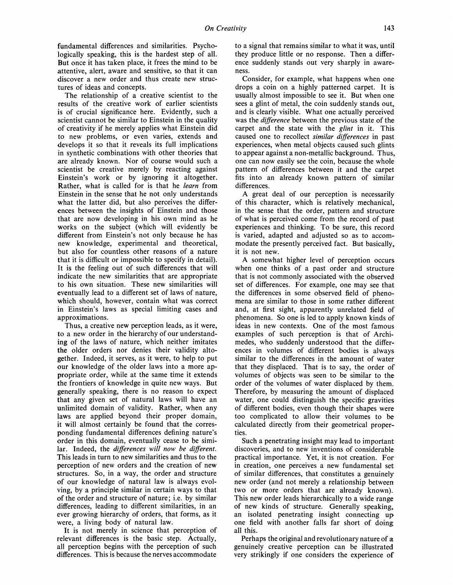fundamental differences and similarities. Psychologically speaking, this is the hardest step of all. But once it has taken place, it frees the mind to be attentive, alert, aware and sensitive, so that it can discover a new order and thus create new structures of ideas and concepts.

The relationship of a creative scientist to the results of the creative work of earlier scientists is of crucial significance here. Evidently, such a scientist cannot be similar to Einstein in the quality of creativity if he merely applies what Einstein did to new problems, or even varies, extends and develops it so that it reveals its full implications in synthetic combinations with other theories that are already known. Nor of course would such a scientist be creative merely by reacting against Einstein's work or by ignoring it altogether. Rather, what is called for is that he *learn* from Einstein in the sense that he not only understands what the latter did, but also perceives the differences between the insights of Einstein and those that are now developing in his own mind as he works on the subject (which will evidently be different from Einstein's not only because he has new knowledge, experimental and theoretical, but also for countless other reasons of a nature that it is difficult or impossible to specify in detail). It is the feeling out of such differences that will indicate the new similarities that are appropriate to his own situation. These new similarities will eventually lead to a different set of laws of nature, which should, however, contain what was correct in Einstein's laws as special limiting cases and approximations.

Thus, a creative new perception leads, as it were, to a new order in the hierarchy of our understanding of the laws of nature, which neither imitates the older orders nor denies their validity altogether. Indeed, it serves, as it were, to help to put our knowledge of the older laws into a more appropriate order, while at the same time it extends the frontiers of knowledge in quite new ways. But generally speaking, there is no reason to expect that any given set of natural laws will have an unlimited domain of validity. Rather, when any laws are applied beyond their proper domain, it will almost certainly be found that the corresponding fundamental differences defining nature's order in this domain, eventually cease to be similar. Indeed, the *diferences will now be diferent.*  This leads in turn to new similarities and thus to the perception of new orders and the creation of new structures. So, in a way, the order and structure of our knowledge of natural law is always evolving, by a principle similar in certain ways to that of the order and structure of nature; i.e. by similar differences, leading to different similarities, in an ever growing hierarchy of orders, that forms, as it were, a living body of natural law.

It is not merely in science that perception of relevant differences is the basic step. Actually, all perception begins with the perception of such differences. This is because the nerves accommodate

to a signal that remains similar to what it was, until they produce little or no response. Then a difference suddenly stands out very sharply in awareness.

Consider, for example, what happens when one drops a coin on a highly patterned carpet. It is usually almost impossible to see it. But when one sees a glint of metal, the coin suddenly stands out, and is clearly visible. What one actually perceived was the *difference* between the previous state of the carpet and the state with the *glint* in it. This caused one to recollect *similar diferences* in past experiences, when metal objects caused such glints to appear against a non-metallic background. Thus, one can now easily see the coin, because the whole pattern of differences between it and the carpet fits into an already known pattern of similar differences.

A great deal of our perception is necessarily of this character, which is relatively mechanical, in the sense that the order, pattern and structure of what is perceived come from the record of past experiences and thinking. To be sure, this record is varied, adapted and adjusted so as to accommodate the presently perceived fact. But basically, it is not new.

A somewhat higher level of perception occurs when one thinks of a past order and structure that is not commonly associated with the observed set of differences. For example, one may see that the differences in some observed field of phenomena are similar to those in some rather different and, at first sight, apparently unrelated field of phenomena. So one is led to apply known kinds of ideas in new contexts. One of the most famous examples of such perception is that of Archimedes, who suddenly understood that the differences in volumes of different bodies is always similar to the differences in the amount of water that they displaced. That is to say, the order of volumes of objects was seen to be similar to the order of the volumes of water displaced by them. Therefore, by measuring the amount of displaced water, one could distinguish the specific gravities of different bodies, even though their shapes were too complicated to allow their volumes to be calculated directly from their geometrical properties.

Such a penetrating insight may lead to important discoveries, and to new inventions of considerable practical importance. Yet, it is not creation. For in creation, one perceives a new fundamental set of similar differences, that constitutes a genuinely new order (and not merely a relationship between two or more orders that are already known). This new order leads hierarchically to a wide range of new kinds of structure. Generally speaking, an isolated penetrating insight connecting up one field with another falls far short of doing all this.

Perhaps the original and revolutionary nature of a genuinely creative perception can be illustrated very strikingly if one considers the experience of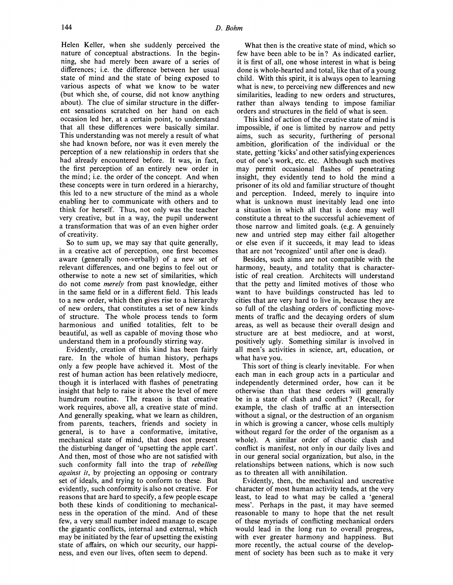Helen Keller, when she suddenly perceived the nature of conceptual abstractions. In the beginning, she had merely been aware of a series of differences; i.e. the difference between her usual state of mind and the state of being exposed to various aspects of what we know to be water (but which she, of course, did not know anything about). The clue of similar structure in the different sensations scratched on her hand on each occasion led her, at a certain point, to understand that all these differences were basically similar. This understanding was not merely a result of what she had known before, nor was it even merely the perception of a new relationship in orders that she had already encountered before. It was, in fact, the first perception of an entirely new order in the mind; i.e. the order of the concept. And when these concepts were in turn ordered in a hierarchy, this led to a new structure of the mind as a whole enabling her to communicate with others and to think for herself. Thus, not only was the teacher very creative, but in a way, the pupil underwent a transformation that was of an even higher order of creativity.

So to sum up, we may say that quite generally, in a creative act of perception, one first becomes aware (generally non-verbally) of a new set of relevant differences, and one begins to feel out or otherwise to note a new set of similarities, which do not come *merely* from past knowledge, either in the same field or in a different field. This leads to a new order, which then gives rise to a hierarchy of new orders, that constitutes a set of new kinds of structure. The whole process tends to form harmonious and unified totalities, felt to be beautiful, as well as capable of moving those who understand them in a profoundly stirring way.

Evidently, creation of this kind has been fairly rare. In the whole of human history, perhaps only a few people have achieved it. Most of the rest of human action has been relatively mediocre, though it is interlaced with flashes of penetrating insight that help to raise it above the level of mere humdrum routine. The reason is that creative work requires, above all, a creative state of mind. And generally speaking, what we learn as children, from parents, teachers, friends and society in general, is to have a conformative, imitative, mechanical state of mind, that does not present the disturbing danger of 'upsetting the apple cart'. And then, most of those who are not satisfied with such conformity fall into the trap of *rebelling against* **it,** by projecting an opposing or contrary set of ideals, and trying to conform to these. But evidently, such conformity is also not creative. For reasons that are hard to specify, a few people escape both these kinds of conditioning to mechanicalness in the operation of the mind. And of these few, a very small number indeed manage to escape the gigantic conflicts, internal and external, which may be initiated by the fear of upsetting the existing state of affairs, on which our security, our happiness, and even our lives, often seem to depend.

What then is the creative state of mind, which so few have been able to be in? As indicated earlier, it is first of all, one whose interest in what is being done is whole-hearted and total, like that of a young child. With this spirit, it is always open to learning what is new, to perceiving new differences and new similarities, leading to new orders and structures, rather than always tending to impose familiar orders and structures in the field of what is seen.

This kind of action of the creative state of mind is impossible, if one is limited by narrow and petty aims, such as security, furthering of personal ambition, glorification of the individual or the state, getting 'kicks' and other satisfying experiences out of one's work, etc. etc. Although such motives may permit occasional flashes of penetrating insight, they evidently tend to hold the mind a prisoner of its old and familiar structure of thought and perception. Indeed, merely to inquire into what is unknown must inevitably lead one into a situation in which all that is done may well constitute a threat to the successful achievement of those narrow and limited goals. (e.g. A genuinely new and untried step may either fail altogether or else even if it succeeds, it may lead to ideas that are not 'recognized' until after one is dead).

Besides, such aims are not compatible with the harmony, beauty, and totality that is characteristic of real creation. Architects will understand that the petty and limited motives of those who want to have buildings constructed has led to cities that are very hard to live in, because they are so full of the clashing orders of conflicting movements of traffic and the decaying orders of slum areas, as well as because their overall design and structure are at best mediocre, and at worst, positively ugly. Something similar is involved in all men's activities in science, art, education, or what have you.

This sort of thing is clearly inevitable. For when each man in each group acts in a particular and independently determined order, how can it be otherwise than that these orders will generally be in a state of clash and conflict? (Recall, for example, the clash of traffic at an intersection without a signal, or the destruction of an organism in which is growing a cancer, whose cells multiply without regard for the order of the organism as a whole). A similar order of chaotic clash and conflict is manifest, not only in our daily lives and in our general social organization, but also, in the relationships between nations, which is now such as to threaten all with annihilation.

Evidently, then, the mechanical and uncreative character of most human activity tends, at the very least, to lead to what may be called a 'general mess'. Perhaps in the past, it may have seemed reasonable to many to hope that the net result of these myriads of conflicting mechanical orders would lead in the long run to overall progress, with ever greater harmony and happiness. But more recently, the actual course of the development of society has been such as to make it very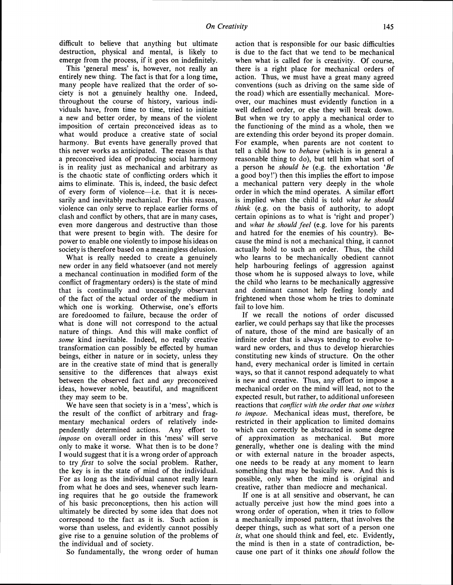difficult to believe that anything but ultimate destruction, physical and mental, is likely to emerge from the process, if it goes on indefinitely.

This 'general mess' is, however, not really an entirely new thing. The fact is that for a long time, many people have realized that the order of society is not a genuinely healthy one. Indeed, throughout the course of history, various individuals have, from time to time, tried to initiate a new and better order, by means of the violent imposition of certain preconceived ideas as to what would produce a creative state of social harmony. But events have generally proved that this never works as anticipated. The reason is that a preconceived idea of producing social harmony is in reality just as mechanical and arbitrary as is the chaotic state of conflicting orders which it aims to eliminate. This is, indeed, the basic defect of every form of violence-i.e. that it is necessarily and inevitably mechanical. For this reason, violence can only serve to replace earlier forms of clash and conflict by others, that are in many cases, even more dangerous and destructive than those that were present to begin with. The desire for power to enable one violently to impose his ideas on society is therefore based on a meaningless delusion.

What is really needed to create a genuinely new order in any field whatsoever (and not merely a mechancal continuation in modified form of the conflict of fragmentary orders) is the state of mind that is continually and unceasingly observant of the fact of the actual order of the medium in which one is working. Otherwise, one's efforts are foredoomed to failure, because the order of what is done will not correspond to the actual nature of things. And this will make conflict of *some* kind inevitable. Indeed, no really creative transformation can possibly be effected by human beings, either in nature or in society, unless they are in the creative state of mind that is generally sensitive to the differences that always exist between the observed fact and *any* preconceived ideas, however noble, beautiful, and magnificent they may seem to be.

We have seen that society is in a 'mess', which is the result of the conflict of arbitrary and fragmentary mechanical orders of relatively independently determined actions. Any effort to *impose* on overall order in this 'mess' will serve only to make it worse. What then is to be done? I would suggest that it is a wrong order of approach to try *first* to solve the social problem. Rather, the key is in the state of mind of the individual. For as long as the individual cannot really learn from what he does and sees, whenever such learning requires that he go outside the framework of his basic preconceptions, then his action will ultimately be directed by some idea that does not correspond to the fact as it is. Such action is worse than useless, and evidently cannot possibly give rise to a genuine solution of the problems of the individual and of society.

So fundamentally, the wrong order of human

action that is responsible for our basic difficulties is due to the fact that we tend to be mechanical when what is called for is creativity. Of course, there is a right place for mechanical orders of action. Thus, we must have a great many agreed conventions (such as driving on the same side of the road) which are essentially mechanical. Moreover, our machines must evidently function in a well defined order, or else they will break down. But when we try to apply a mechanical order to the functioning of the mind as a whole, then we are extending this order beyond its proper domain. For example, when parents are not content to tell a child how to *behave* (which is in general a reasonable thing to do), but tell him what sort of a person he *should be* (e.g. the exhortation *'Be*  a good boy!') then this implies the effort to impose a mechanical pattern very deeply in the whole order in which the mind operates. A similar effort is implied when the child is told *what he should think* (e.g. on the basis of authority, to adopt certain opinions as to what is 'right and proper') and *what he should feel* (e.g. love for his parents and hatred for the enemies of his country). Because the mind is not a mechanical thing, it cannot actually hold to such an order. Thus, the child who learns to be mechanically obedient cannot help harbouring feelings of aggression against those whom he is supposed always to love, while the child who learns to be mechanically aggressive and dominant cannot help feeling lonely and frightened when those whom he tries to dominate fail to love him.

If we recall the notions of order discussed earlier, we could perhaps say that like the processes of nature, those of the mind are basically of an infinite order that is always tending to evolve toward new orders, and thus to develop hierarchies constituting new kinds of structure. On the other hand, every mechanical order is limited in certain ways, so that it cannot respond adequately to what is new and creative. Thus, any effort to impose a mechanical order on the mind will lead, not to the expected result, but rather, to additional unforeseen reactions that *conjict with the order that one wishes to impose.* Mechanical ideas must, therefore, be restricted in their application to limited domains which can correctly be abstracted in some degree of approximation as mechanical. But more generally, whether one is dealing with the mind or with external nature in the broader aspects, one needs to be ready at any moment to learn something that may be basically new. And this is possible, only when the mind is original and creative, rather than mediocre and mechanical.

If one is at all sensitive and observant, he can actually perceive just how the mind goes into a wrong order of operation, when it tries to follow a mechanically imposed pattern, that involves the deeper things, such as what sort of a person one *is,* what one should think and feel, etc. Evidently, the mind is then in a state of contradiction, because one part of it thinks one *should* follow the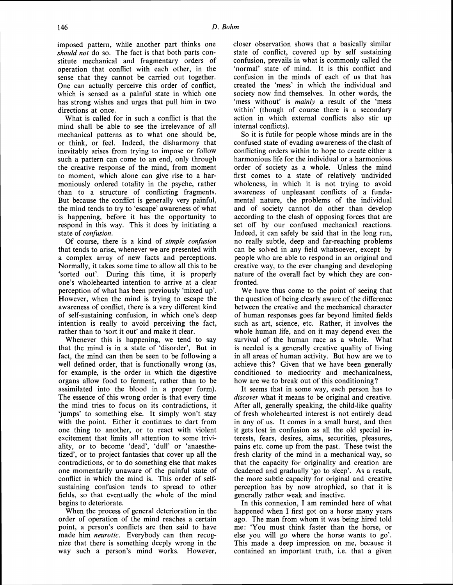imposed pattern, while another part thinks one *should not* do so. The fact is that both parts constitute mechanical and fragmentary orders of operation that conflict with each other, in the sense that they cannot be carried out together. One can actually perceive this order of conflict, which is sensed as a painful state in which one has strong wishes and urges that pull him in two directions at once.

What is called for in such a conflict is that the mind shall be able to see the irrelevance of all mechanical patterns as to what one should be, or think, or feel. Indeed, the disharmony that inevitably arises from trying to impose or follow such a pattern can come to an end, only through the creative response of the mind, from moment to moment, which alone can give rise to a harmoniously ordered totality in the psyche, rather than to a structure of conflicting fragments. But because the conflict is generally very painful, the mind tends to try to 'escape' awareness of what is happening, before it has the opportunity to respond in this way. This it does by initiating a state of *confusion.* 

Of course, there is a kind of *simple confusion*  that tends to arise, whenever we are presented with a complex array of new facts and perceptions. Normally, it takes some time to allow all this to be 'sorted out'. During this time, it is properly one's wholehearted intention to arrive at a clear perception of what has been previously 'mixed up'. However, when the mind is trying to escape the awareness of conflict, there is a very different kind of self-sustaining confusion, in which one's deep intention is really to avoid perceiving the fact, rather than to 'sort it out' and make it clear.

Whenever this is happening, we tend to say that the mind is in a state of 'disorder', But in fact, the mind can then be seen to be following a well defined order, that is functionally wrong (as, for example, is the order in which the digestive organs allow food to ferment, rather than to be assimilated into the blood in a proper form). The essence of this wrong order is that every time the mind tries to focus on its contradictions, it 'jumps' to something else. It simply won't stay with the point. Either it continues to dart from one thing to another, or to react with violent excitement that limits all attention to some triviality, or to become 'dead', 'dull' or 'anaesthetized', or to project fantasies that cover up all the contradictions, or to do something else that makes one momentarily unaware of the painful state of conflict in which the mind is. This order of selfsustaining confusion tends to spread to other fields, so that eventually the whole of the mind begins to deteriorate.

When the process of general deterioration in the order of operation of the mind reaches a certain point, a person's conflicts are then said to have made him *neurotic.* Everybody can then recognize that there is something deeply wrong in the way such a person's mind works. However,

closer observation shows that a basically similar state of conflict, covered up by self sustaining confusion, prevails in what is commonly called the 'normal' state of mind. It is this conflict and confusion in the minds of each of us that has created the 'mess' in which the individual and society now find themselves. In other words, the 'mess without' is *mainly* a result of the 'mess within' (though of course there is a secondary action in which external conflicts also stir up internal conflicts).

So it is futile for people whose minds are in the confused state of evading awareness of the clash of conflicting orders within to hope to create either a harmonious life for the individual or a harmonious order of society as a whole. Unless the mind first comes to a state of relatively undivided wholeness, in which it is not trying to avoid awareness of unpleasant conflicts of a fundamental nature, the problems of the individual and of society cannot do other than develop according to the clash of opposing forces that are set off by our confused mechanical reactions. Indeed, it can safely be said that in the long run, no really subtle, deep and far-reaching problems can be solved in any field whatsoever, except by people who are able to respond in an original and creative way, to the ever changing and developing nature of the overall fact by which they are confronted.

We have thus come to the point of seeing that the question of being clearly aware of the difference between the creative and the mechanical character of human responses goes far beyond limited fields such as art, science, etc. Rather, it involves the whole human life, and on it may depend even the survival of the human race as a whole. What is needed is a generally creative quality of living in all areas of human activity. But how are we to achieve this? Given that we have been generally conditioned to mediocrity and mechanicalness, how are we to break out of this conditioning?

It seems that in some way, each person has to *discover* what it means to be original and creative. After all, generally speaking, the child-like quality of fresh wholehearted interest is not entirely dead in any of us. It comes in a small burst, and then it gets lost in confusion as all the old special interests, fears, desires, aims, securities, pleasures, pains etc. come up from the past. These twist the fresh clarity of the mind in a mechanical way, so that the capacity for originality and creation are deadened and gradually 'go to sleep'. As a result, the more subtle capacity for original and creative perception has by now atrophied, so that it is generally rather weak and inactive.

In this connexion, I am reminded here of what happened when I first got on a horse many years ago. The man from whom it was being hired told me: 'You must think faster than the horse, or else you will go where the horse wants to go'. This made a deep impression on me, because it contained an important truth, i.e. that a given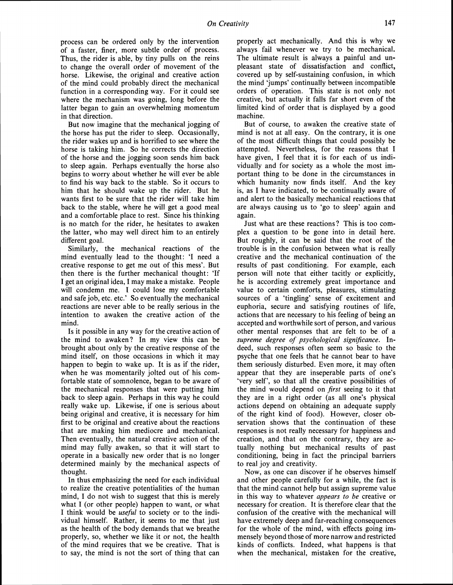process can be ordered only by the intervention of a faster, finer, more subtle order of process. Thus, the rider is able, by tiny pulls on the reins to change the overall order of movement of the horse. Likewise, the original and creative action of the mind could probably direct the mechanical function in a corresponding way. For it could see where the mechanism was going, long before the latter began to gain an overwhelming momentum in that direction:

But now imagine that the mechanical jogging of the horse has put the rider to sleep. Occasionally, the rider wakes up and is horrified to see where the horse is taking him. So he corrects the direction of the horse and the jogging soon sends him back to sleep again. Perhaps eventually the horse also begins to worry about whether he will ever be able to find his way back to the stable. So it occurs to him that he should wake up the rider. But he wants first to be sure that the rider will take him back to the stable, where he will get a good meal and a comfortable place to rest. Since his thinking is no match for the rider, he hesitates to awaken the latter, who may well direct him to an entirely different goal.

Similarly, the mechanical reactions of the mind eventually lead to the thought: 'I need a creative response to get me out of this mess'. But then there is the further mechanical thought: 'If I get an original idea, I may make a mistake. People will condemn me. I could lose my comfortable and safe job, etc. etc.' So eventually the mechanical reactions are never able to be really serious in the intention to awaken the creative action of the mind.

Is it possible in any way for the creative action of the mind to awaken? In my view this can be brought about only by the creative response of the mind itself, on those occasions in which it may happen to begin to wake up. It is as if the rider, when he was momentarily jolted out of his comfortable state of somnolence, began to be aware of the mechanical responses that were putting him back to sleep again. Perhaps in this way he could really wake up. Likewise, if one is serious about being original and creative, it is necessary for him first to be original and creative about the reactions that are making him mediocre and mechanical. Then eventually, the natural creative action of the mind may fully awaken, so that it will start to operate in a basically new order that is no longer determined mainly by the mechanical aspects of thought.

In thus emphasizing the need for each individual to realize the creative potentialities of the human mind, I do not wish to suggest that this is merely what I (or other people) happen to want, or what I think would be *useful* to society or to the individual himself. Rather, it seems to me that just as the health of the body demands that we breathe properly, so, whether we like it or not, the health of the mind requires that we be creative. That is to say, the mind is not the sort of thing that can

properly act mechanically. And this is why we always fail whenever we try to be mechanical. The ultimate result is always a painful and unpleasant state of dissatisfaction and conflict, covered up by self-sustaining confusion, in which the mind 'jumps' continually between incompatible orders of operation. This state is not only not creative, but actually it falls far short even of the limited kind of order that is displayed by a good machine.

But of course, to awaken the creative state of mind is not at all easy. On the contrary, it is one of the most difficult things that could possibly be attempted. Nevertheless, for the reasons that I have given, I feel that it is for each of us individually and for society as a whole the most important thing to be done in the circumstances in which humanity now finds itself. And the key is, as I have indicated, to be continually aware of and alert to the basically mechanical reactions that are always causing us to 'go to sleep' again and again.

Just what are these reactions? This is too complex a question to be gone into in detail here. But roughly, it can be said that the root of the trouble is in the confusion between what is really creative and the mechanical continuation of the results of past conditioning. For example, each person will note that either tacitly or explicitly, he is according extremely great importance and value to certain comforts, pleasures, stimulating sources of a 'tingling' sense of excitement and euphoria, secure and satisfying routines of life, actions that are necessary to his feeling of being an accepted and worthwhile sort of person, and various other mental responses that are felt to be of a supreme degree of psychological significance. Indeed, such responses often seem so basic to the psyche that one feels that he cannot bear to have them seriously disturbed. Even more, it may often appear that they are inseperable parts of one's 'very self', so that all the creative possibilities of the mind would depend on *first* seeing to it that they are in a right order (as all one's physical actions depend on obtaining an adequate supply of the right kind of food). However, closer observation shows that the continuation of these responses is not really necessary for happiness and creation, and that on the contrary, they are actually nothing but mechanical results of past conditioning, being in fact the principal barriers to real joy and creativity.

Now, as one can discover if he observes himself and other people carefully for a while, the fact is that the mind cannot help but assign supreme value in this way to whatever *appears to be* creative or necessary for creation. It is therefore clear that the confusion of the creative with the mechanical will have extremely deep and far-reaching consequences for the whole of the mind, with effects going immensely beyond those of more narrow and restricted kinds of conflicts. Indeed, what happens is that when the mechanical, mistaken for the creative,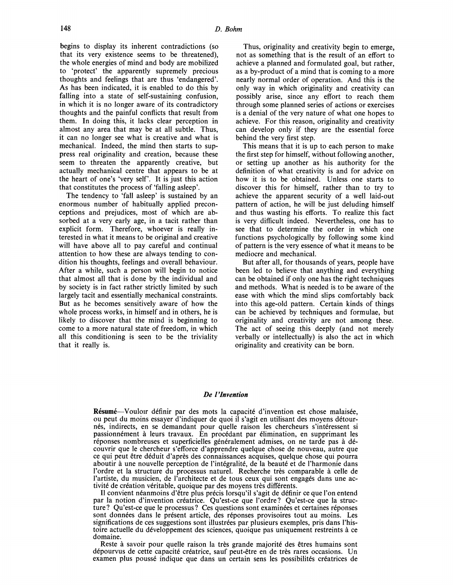begins to display its inherent contradictions (so that its very existence seems to be threatened), the whole energies of mind and body are mobilized to 'protect' the apparently supremely precious thoughts and feelings that are thus 'endangered'. As has been indicated, it is enabled to do this by falling into a state of self-sustaining confusion, in which it is no longer aware of its contradictory thoughts and the painful conflicts that result from them. In doing this, it lacks clear perception in almost any area that may be at all subtle. Thus, it can no longer see what is creative and what is mechanical. Indeed, the mind then starts to suppress real originality and creation, because these seem to threaten the apparently creative, but actually mechanical centre that appears to be at the heart of one's 'very self'. It is just this action that constitutes the process of 'falling asleep'.

The tendency to 'fall asleep' is sustained by an enormous number of habitually applied preconceptions and prejudices, most of which are absorbed at a very early age, in a tacit rather than explicit form. Therefore, whoever is really interested in what it means to be original and creative will have above all to pay careful and continual attention to how these are always tending to condition his thoughts, feelings and overall behaviour. After a while, such a person will begin to notice that almost all that is done by the individual and by society is in fact rather strictly limited by such largely tacit and essentially mechanical constraints. But as he becomes sensitively aware of how the whole process works, in himself and in others, he is likely to discover that the mind is beginning to come to a more natural state of freedom, in which all this conditioning is seen to be the triviality that it really is.

Thus, originality and creativity begin to emerge, not as something that is the result of an effort to achieve a planned and formulated goal, but rather, as a by-product of a mind that is coming to a more nearly normal order of operation. And this is the only way in which originality and creativity can possibly arise, since any effort to reach them through some planned series of actions or exercises is a denial of the very nature of what one hopes to achieve. For this reason, originality and creativity can develop only if they are the essential force behind the very first step.

This means that it is up to each person to make the first step for himself, without following another, or setting up another as his authority for the definition of what creativity is and for advice on how it is to be obtained. Unless one starts to discover this for himself, rather than to try to achieve the apparent security of a well laid-out pattern of action, he will be just deluding himself and thus wasting his efforts. To realize this fact is very difficult indeed. Nevertheless, one has to see that to determine the order in which one functions psychologically by following some kind of pattern is the very essence of what it means to be mediocre and mechanical.

But after all, for thousands of years, people have been led to believe that anything and everything can be obtained if only one has the right techniques and methods. What is needed is to be aware of the ease with which the mind slips comfortably back into this age-old pattern. Certain kinds of things can be achieved by techniques and formulae, but originality and creativity are not among these. The act of seeing this deeply (and not merely verbally or intellectually) is also the act in which originality and creativity can be born.

## De l'Invention

Résumé-Vouloir définir par des mots la capacité d'invention est chose malaisée, ou peut du moins essayer d'indiquer de quoi il s'agit en utilisant des moyens detournés, indirects, en se demandant pour quelle raison les chercheurs s'intéressent si passionnément à leurs travaux. En procédant par élimination, en supprimant les réponses nombreuses et superficielles généralement admises, on ne tarde pas à découvrir que le chercheur s'efforce d'apprendre quelque chose de nouveau, autre que ce qui peut Ctre deduit d'apres des connaissances acquises, quelque chose qui pourra aboutir à une nouvelle perception de l'intégralité, de la beauté et de l'harmonie dans l'ordre et la structure du processus naturel. Recherche tres comparable a celle de l'artiste, du musicien, de l'architecte et de tous ceux qui sont engages dans une activité de création véritable, quoique par des moyens très différents.

Il convient néanmoins d'être plus précis lorsqu'il s'agit de définir ce que l'on entend par la notion d'invention creatrice. Qu'est-ce que l'ordre? Qu'est-ce que la structure? Qu'est-ce que le processus? Ces questions sont examinées et certaines réponses sont donnees dans le present article, des reponses provisoires tout au moins. Les significations de ces suggestions sont illustrees par plusieurs exemples, pris dans l'histoire actuelle du developpement des sciences, quoique pas uniquement restreints a ce domaine.

Reste à savoir pour quelle raison la très grande majorité des êtres humains sont dépourvus de cette capacité créatrice, sauf peut-être en de très rares occasions. Un examen plus poussé indique que dans un certain sens les possibilités créatrices de